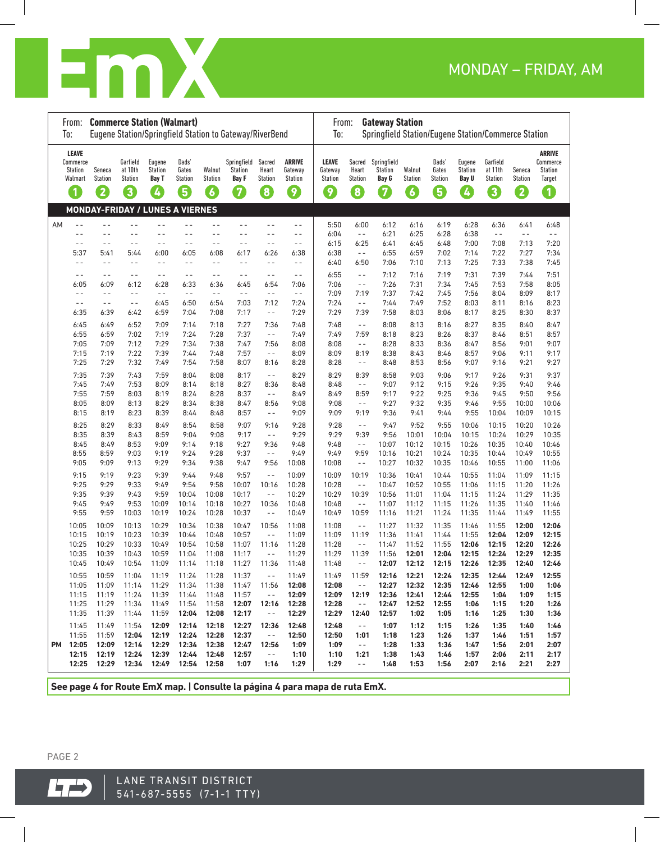

|    | From:<br>To:                                                              | <b>Commerce Station (Walmart)</b>          |                                                  |                                        |                                                |                                            | Eugene Station/Springfield Station to Gateway/RiverBend |                                            |                                                 | <b>Gateway Station</b><br>From:<br>Springfield Station/Eugene Station/Commerce Station<br>To: |                                                   |                                              |                                            |                                       |                                        |                                            |                               |                                                            |  |
|----|---------------------------------------------------------------------------|--------------------------------------------|--------------------------------------------------|----------------------------------------|------------------------------------------------|--------------------------------------------|---------------------------------------------------------|--------------------------------------------|-------------------------------------------------|-----------------------------------------------------------------------------------------------|---------------------------------------------------|----------------------------------------------|--------------------------------------------|---------------------------------------|----------------------------------------|--------------------------------------------|-------------------------------|------------------------------------------------------------|--|
|    | <b>LEAVE</b><br>Commerce<br>Station<br>Walmart<br>$\overline{\mathbf{1}}$ | Seneca<br><b>Station</b><br>$\overline{2}$ | Garfield<br>at 10th<br>Station<br>$\overline{3}$ | Eugene<br><b>Station</b><br>Bay T<br>4 | Dads'<br>Gates<br>Station<br>$\left( 5\right)$ | Walnut<br><b>Station</b><br>$\overline{6}$ | Springfield<br>Station<br><b>Bay F</b><br>$\bm{7}$      | Sacred<br>Heart<br>Station<br>$\mathbf{8}$ | <b>ARRIVE</b><br>Gateway<br><b>Station</b><br>9 | <b>LEAVE</b><br>Gateway<br>Station<br>$\left  \mathbf{9} \right $                             | Sacred<br>Heart<br><b>Station</b><br>$\mathbf{8}$ | Springfield<br>Station<br>Bay G<br>$\bullet$ | Walnut<br><b>Station</b><br>$\overline{6}$ | Dads'<br>Gates<br><b>Station</b><br>5 | Eugene<br>Station<br><b>Bay U</b><br>Ø | Garfield<br>at 11th<br><b>Station</b><br>3 | Seneca<br><b>Station</b><br>2 | <b>ARRIVE</b><br>Commerce<br><b>Station</b><br>Target<br>O |  |
|    |                                                                           | <b>MONDAY-FRIDAY / LUNES A VIERNES</b>     |                                                  |                                        |                                                |                                            |                                                         |                                            |                                                 |                                                                                               |                                                   |                                              |                                            |                                       |                                        |                                            |                               |                                                            |  |
| AΜ | $ -$                                                                      | $ -$                                       | $- -$                                            | $-$                                    | $ -$                                           | $ -$                                       | $ -$                                                    | $ -$                                       | $ -$                                            | 5:50                                                                                          | 6:00                                              | 6:12                                         | 6:16                                       | 6:19                                  | 6:28                                   | 6:36                                       | 6:41                          | 6:48                                                       |  |
|    | $ -$                                                                      | $ -$                                       | - -                                              | $ -$                                   | $ -$                                           | - -                                        | $ -$                                                    | $ -$                                       | - -                                             | 6:04                                                                                          | $\sim$ $-$                                        | 6:21                                         | 6:25                                       | 6:28                                  | 6:38                                   | $ -$                                       | $ -$                          | $- -$                                                      |  |
|    | $ -$                                                                      | $- -$                                      | $- -$                                            | $- -$                                  | $ -$                                           | - -                                        | $ -$                                                    | $- -$                                      | $- -$                                           | 6:15                                                                                          | 6:25                                              | 6:41                                         | 6:45                                       | 6:48                                  | 7:00                                   | 7:08                                       | 7:13                          | 7:20                                                       |  |
|    | 5:37<br>$-$                                                               | 5:41<br>$ -$                               | 5:44<br>$ -$                                     | 6:00<br>$-$                            | 6:05<br>$-$                                    | 6:08<br>$-$                                | 6:17<br>$ -$                                            | 6:26<br>$ -$                               | 6:38<br>$-$                                     | 6:38<br>6:40                                                                                  | $\sim$ $-$<br>6:50                                | 6:55<br>7:06                                 | 6:59<br>7:10                               | 7:02<br>7:13                          | 7:14<br>7:25                           | 7:22<br>7:33                               | 7:27<br>7:38                  | 7:34<br>7:45                                               |  |
|    | $ -$                                                                      | $-$                                        | $ -$                                             | $ -$                                   | $ -$                                           | $ -$                                       | $ -$                                                    | $- -$                                      | $ -$                                            | 6:55                                                                                          | $ -$                                              | 7:12                                         | 7:16                                       | 7:19                                  | 7:31                                   | 7:39                                       | 7:44                          | 7:51                                                       |  |
|    | 6:05                                                                      | 6:09                                       | 6:12                                             | 6:28                                   | 6:33                                           | 6:36                                       | 6:45                                                    | 6:54                                       | 7:06                                            | 7:06                                                                                          | $- -$                                             | 7:26                                         | 7:31                                       | 7:34                                  | 7:45                                   | 7:53                                       | 7:58                          | 8:05                                                       |  |
|    | $ -$                                                                      | $ -$                                       | $- -$                                            | $ -$                                   | $ -$                                           | $ -$                                       | $ -$                                                    | $- -$                                      | $ -$                                            | 7:09                                                                                          | 7:19                                              | 7:37                                         | 7:42                                       | 7:45                                  | 7:56                                   | 8:04                                       | 8:09                          | 8:17                                                       |  |
|    | $ -$                                                                      | $- -$                                      | $- -$                                            | 6:45                                   | 6:50                                           | 6:54                                       | 7:03                                                    | 7:12                                       | 7:24                                            | 7:24                                                                                          | $ -$                                              | 7:44                                         | 7:49                                       | 7:52                                  | 8:03                                   | 8:11                                       | 8:16                          | 8:23                                                       |  |
|    | 6:35                                                                      | 6:39                                       | 6:42                                             | 6:59                                   | 7:04                                           | 7:08                                       | 7:17                                                    | $\sim$ $-$                                 | 7:29                                            | 7:29                                                                                          | 7:39                                              | 7:58                                         | 8:03                                       | 8:06                                  | 8:17                                   | 8:25                                       | 8:30                          | 8:37                                                       |  |
|    | 6:45                                                                      | 6:49                                       | 6:52                                             | 7:09                                   | 7:14                                           | 7:18                                       | 7:27                                                    | 7:36                                       | 7:48                                            | 7:48                                                                                          | $\sim$ $-$                                        | 8:08                                         | 8:13                                       | 8:16                                  | 8:27                                   | 8:35                                       | 8:40                          | 8:47                                                       |  |
|    | 6:55<br>7:05                                                              | 6:59<br>7:09                               | 7:02<br>7:12                                     | 7:19<br>7:29                           | 7:24<br>7:34                                   | 7:28<br>7:38                               | 7:37<br>7:47                                            | $\sim$ $-$<br>7:56                         | 7:49<br>8:08                                    | 7:49<br>8:08                                                                                  | 7:59<br>$ -$                                      | 8:18<br>8:28                                 | 8:23<br>8:33                               | 8:26<br>8:36                          | 8:37<br>8:47                           | 8:46<br>8:56                               | 8:51<br>9:01                  | 8:57<br>9:07                                               |  |
|    | 7:15                                                                      | 7:19                                       | 7:22                                             | 7:39                                   | 7:44                                           | 7:48                                       | 7:57                                                    | $\sim$ $-$                                 | 8:09                                            | 8:09                                                                                          | 8:19                                              | 8:38                                         | 8:43                                       | 8:46                                  | 8:57                                   | 9:06                                       | 9:11                          | 9:17                                                       |  |
|    | 7:25                                                                      | 7:29                                       | 7:32                                             | 7:49                                   | 7:54                                           | 7:58                                       | 8:07                                                    | 8:16                                       | 8:28                                            | 8:28                                                                                          | $- -$                                             | 8:48                                         | 8:53                                       | 8:56                                  | 9:07                                   | 9:16                                       | 9:21                          | 9:27                                                       |  |
|    | 7:35                                                                      | 7:39                                       | 7:43                                             | 7:59                                   | 8:04                                           | 8:08                                       | 8:17                                                    | $ -$                                       | 8:29                                            | 8:29                                                                                          | 8:39                                              | 8:58                                         | 9:03                                       | 9:06                                  | 9:17                                   | 9:26                                       | 9:31                          | 9:37                                                       |  |
|    | 7:45                                                                      | 7:49                                       | 7:53                                             | 8:09                                   | 8:14                                           | 8:18                                       | 8:27                                                    | 8:36                                       | 8:48                                            | 8:48                                                                                          | $ -$                                              | 9:07                                         | 9:12                                       | 9:15                                  | 9:26                                   | 9:35                                       | 9:40                          | 9:46                                                       |  |
|    | 7:55<br>8:05                                                              | 7:59<br>8:09                               | 8:03<br>8:13                                     | 8:19<br>8:29                           | 8:24<br>8:34                                   | 8:28<br>8:38                               | 8:37<br>8:47                                            | $ -$<br>8:56                               | 8:49<br>9:08                                    | 8:49<br>9:08                                                                                  | 8:59<br>$ -$                                      | 9:17<br>9:27                                 | 9:22<br>9:32                               | 9:25<br>9:35                          | 9:36<br>9:46                           | 9:45<br>9:55                               | 9:50<br>10:00                 | 9:56<br>10:06                                              |  |
|    | 8:15                                                                      | 8:19                                       | 8:23                                             | 8:39                                   | 8:44                                           | 8:48                                       | 8:57                                                    | $\sim$ $-$                                 | 9:09                                            | 9:09                                                                                          | 9:19                                              | 9:36                                         | 9:41                                       | 9:44                                  | 9:55                                   | 10:04                                      | 10:09                         | 10:15                                                      |  |
|    | 8:25                                                                      | 8:29                                       | 8:33                                             | 8:49                                   | 8:54                                           | 8:58                                       | 9:07                                                    | 9:16                                       | 9:28                                            | 9:28                                                                                          | $ -$                                              | 9:47                                         | 9:52                                       | 9:55                                  | 10:06                                  | 10:15                                      | 10:20                         | 10:26                                                      |  |
|    | 8:35                                                                      | 8:39                                       | 8:43                                             | 8:59                                   | 9:04                                           | 9:08                                       | 9:17                                                    | $- -$                                      | 9:29                                            | 9:29                                                                                          | 9:39                                              | 9:56                                         | 10:01                                      | 10:04                                 | 10:15                                  | 10:24                                      | 10:29                         | 10:35                                                      |  |
|    | 8:45                                                                      | 8:49                                       | 8:53                                             | 9:09                                   | 9:14                                           | 9:18                                       | 9:27                                                    | 9:36                                       | 9:48                                            | 9:48                                                                                          | $- -$                                             | 10:07                                        | 10:12                                      | 10:15                                 | 10:26                                  | 10:35                                      | 10:40                         | 10:46                                                      |  |
|    | 8:55<br>9:05                                                              | 8:59<br>9:09                               | 9:03<br>9:13                                     | 9:19<br>9:29                           | 9:24<br>9:34                                   | 9:28<br>9:38                               | 9:37<br>9:47                                            | $ -$<br>9:56                               | 9:49                                            | 9:49<br>10:08                                                                                 | 9:59<br>$ -$                                      | 10:16<br>10:27                               | 10:21<br>10:32                             | 10:24<br>10:35                        | 10:35<br>10:46                         | 10:44<br>10:55                             | 10:49<br>11:00                | 10:55<br>11:06                                             |  |
|    |                                                                           |                                            |                                                  |                                        |                                                |                                            |                                                         |                                            | 10:08                                           |                                                                                               |                                                   |                                              |                                            |                                       |                                        |                                            |                               |                                                            |  |
|    | 9:15<br>9:25                                                              | 9:19<br>9:29                               | 9:23<br>9:33                                     | 9:39<br>9:49                           | 9:44<br>9:54                                   | 9:48<br>9:58                               | 9:57<br>10:07                                           | $ -$<br>10:16                              | 10:09<br>10:28                                  | 10:09<br>10:28                                                                                | 10:19<br>$ -$                                     | 10:36<br>10:47                               | 10:41<br>10:52                             | 10:44<br>10:55                        | 10:55<br>11:06                         | 11:04<br>11:15                             | 11:09<br>11:20                | 11:15<br>11:26                                             |  |
|    | 9:35                                                                      | 9:39                                       | 9:43                                             | 9:59                                   | 10:04                                          | 10:08                                      | 10:17                                                   | $ -$                                       | 10:29                                           | 10:29                                                                                         | 10:39                                             | 10:56                                        | 11:01                                      | 11:04                                 | 11:15                                  | 11:24                                      | 11:29                         | 11:35                                                      |  |
|    | 9:45                                                                      | 9:49                                       | 9:53                                             | 10:09                                  | 10:14                                          | 10:18                                      | 10:27                                                   | 10:36                                      | 10:48                                           | 10:48                                                                                         | $\sim$ $-$                                        | 11:07                                        | 11:12                                      | 11:15                                 | 11:26                                  | 11:35                                      | 11:40                         | 11:46                                                      |  |
|    | 9:55                                                                      | 9:59                                       | 10:03                                            | 10:19                                  | 10:24                                          | 10:28                                      | 10:37                                                   | $ -$                                       | 10:49                                           | 10:49                                                                                         | 10:59                                             | 11:16                                        | 11:21                                      | 11:24                                 | 11:35                                  | 11:44                                      | 11:49                         | 11:55                                                      |  |
|    | 10:05                                                                     | 10:09                                      | 10:13                                            | 10:29                                  | 10:34                                          | 10:38                                      | 10:47                                                   | 10:56                                      | 11:08                                           | 11:08                                                                                         | $ -$                                              | 11:27                                        | 11:32                                      | 11:35                                 | 11:46                                  | 11:55                                      | 12:00                         | 12:06                                                      |  |
|    | 10:15<br>10:25                                                            | 10:19<br>10:29                             | 10:23<br>10:33                                   | 10:39<br>10:49                         | 10:44<br>10:54                                 | 10:48<br>10:58                             | 10:57<br>11:07                                          | $ -$<br>11:16                              | 11:09<br>11:28                                  | 11:09<br>11:28                                                                                | 11:19<br>$- -$                                    | 11:36<br>11:47                               | 11:41<br>11:52                             | 11:44<br>11:55                        | 11:55<br>12:06                         | 12:04<br>12:15                             | 12:09<br>12:20                | 12:15<br>12:26                                             |  |
|    | 10:35                                                                     | 10:39                                      | 10:43                                            | 10:59                                  | 11:04                                          | 11:08                                      | 11:17                                                   | $ -$                                       | 11:29                                           | 11:29                                                                                         | 11:39                                             | 11:56                                        | 12:01                                      | 12:04                                 | 12:15                                  | 12:24                                      | 12:29                         | 12:35                                                      |  |
|    | 10:45                                                                     | 10:49                                      | 10:54                                            | 11:09                                  | 11:14                                          | 11:18                                      | 11:27                                                   | 11:36                                      | 11:48                                           | 11:48                                                                                         | $ -$                                              | 12:07                                        | 12:12                                      | 12:15                                 | 12:26                                  | 12:35                                      | 12:40                         | 12:46                                                      |  |
|    | 10:55                                                                     | 10:59                                      | 11:04                                            | 11:19                                  | 11:24                                          | 11:28                                      | 11:37                                                   | $\sim$ $-$                                 | 11:49                                           | 11:49                                                                                         | 11:59                                             | 12:16                                        | 12:21                                      | 12:24                                 | 12:35                                  | 12:44                                      | 12:49                         | 12:55                                                      |  |
|    | 11:05                                                                     | 11:09                                      | 11:14                                            | 11:29                                  | 11:34                                          | 11:38                                      | 11:47                                                   | 11:56                                      | 12:08                                           | 12:08                                                                                         | $\sim$ $-$                                        | 12:27                                        | 12:32                                      | 12:35                                 | 12:46                                  | 12:55                                      | 1:00                          | 1:06                                                       |  |
|    | 11:15                                                                     | 11:19                                      | 11:24                                            | 11:39                                  | 11:44                                          | 11:48                                      | 11:57                                                   | $\sim$ $-$                                 | 12:09                                           | 12:09                                                                                         | 12:19                                             | 12:36                                        | 12:41                                      | 12:44                                 | 12:55                                  | 1:04                                       | 1:09                          | 1:15                                                       |  |
|    | 11:25<br>11:35                                                            | 11:29<br>11:39                             | 11:34<br>11:44                                   | 11:49<br>11:59                         | 11:54<br>12:04                                 | 11:58<br>12:08                             | 12:07<br>12:17                                          | 12:16<br>$\sim$ $-$                        | 12:28<br>12:29                                  | 12:28<br>12:29                                                                                | $\sim$ $-$<br>12:40                               | 12:47<br>12:57                               | 12:52<br>1:02                              | 12:55<br>1:05                         | 1:06<br>1:16                           | 1:15<br>1:25                               | 1:20<br>1:30                  | 1:26<br>1:36                                               |  |
|    | 11:45                                                                     | 11:49                                      | 11:54                                            | 12:09                                  | 12:14                                          | 12:18                                      | 12:27                                                   | 12:36                                      | 12:48                                           | 12:48                                                                                         | $\sim$ $-$                                        | 1:07                                         | 1:12                                       | 1:15                                  | 1:26                                   | 1:35                                       | 1:40                          | 1:46                                                       |  |
|    | 11:55                                                                     | 11:59                                      | 12:04                                            | 12:19                                  | 12:24                                          | 12:28                                      | 12:37                                                   | $\sim$ $-$                                 | 12:50                                           | 12:50                                                                                         | 1:01                                              | 1:18                                         | 1:23                                       | 1:26                                  | 1:37                                   | 1:46                                       | 1:51                          | 1:57                                                       |  |
| PМ | 12:05                                                                     | 12:09                                      | 12:14                                            | 12:29                                  | 12:34                                          | 12:38                                      | 12:47                                                   | 12:56                                      | 1:09                                            | 1:09                                                                                          | $\sim$ $-$                                        | 1:28                                         | 1:33                                       | 1:36                                  | 1:47                                   | 1:56                                       | 2:01                          | 2:07                                                       |  |
|    | 12:15                                                                     | 12:19                                      | 12:24                                            | 12:39                                  | 12:44                                          | 12:48                                      | 12:57                                                   | $\sim$ $-$                                 | 1:10                                            | 1:10                                                                                          | 1:21                                              | 1:38                                         | 1:43                                       | 1:46                                  | 1:57                                   | 2:06                                       | 2:11                          | 2:17                                                       |  |
|    | 12:25                                                                     | 12:29                                      | 12:34                                            | 12:49                                  | 12:54                                          | 12:58                                      | 1:07                                                    | 1:16                                       | 1:29                                            | 1:29                                                                                          | $\sim$ $-$                                        | 1:48                                         | 1:53                                       | 1:56                                  | 2:07                                   | 2:16                                       | 2:21                          | 2:27                                                       |  |

**See page 4 for Route EmX map. | Consulte la página 4 para mapa de ruta EmX.**

PAGE 2

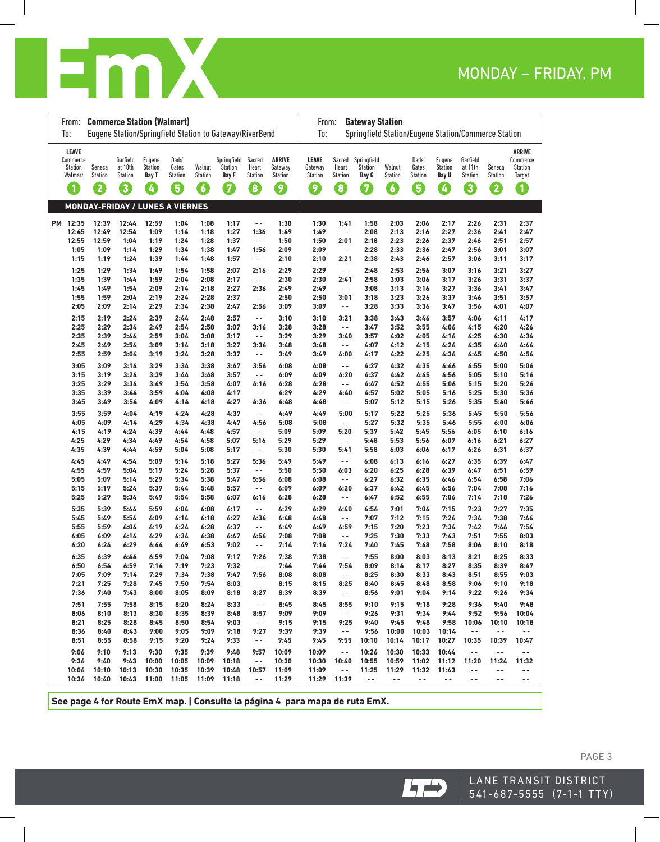

| From:                    | <b>Commerce Station (Walmart)</b>      |                           |                                |                         |                   |                                                         |                          |                    | <b>Gateway Station</b><br>From:                            |                         |                              |                          |                         |                                |                           |                          |                          |  |
|--------------------------|----------------------------------------|---------------------------|--------------------------------|-------------------------|-------------------|---------------------------------------------------------|--------------------------|--------------------|------------------------------------------------------------|-------------------------|------------------------------|--------------------------|-------------------------|--------------------------------|---------------------------|--------------------------|--------------------------|--|
| To:                      |                                        |                           |                                |                         |                   | Eugene Station/Springfield Station to Gateway/RiverBend |                          |                    | Springfield Station/Eugene Station/Commerce Station<br>To: |                         |                              |                          |                         |                                |                           |                          |                          |  |
| <b>LEAVE</b><br>Commerce |                                        | Garfield                  | Eugene                         | Dads'                   |                   | Springfield                                             | Sacred                   | <b>ARRIVE</b>      | <b>LEAVE</b>                                               | Sacred                  | Springfield                  |                          | Dads'                   | Eugene                         | Garfield                  |                          | ARRIVE<br>Commerce       |  |
| Station<br>Walmart       | Seneca<br><b>Station</b>               | at 10th<br><b>Station</b> | <b>Station</b><br><b>Bay T</b> | Gates<br><b>Station</b> | Walnut<br>Station | <b>Station</b><br><b>Bay F</b>                          | Heart<br>Station         | Gateway<br>Station | Gateway<br><b>Station</b>                                  | Heart<br><b>Station</b> | Station<br>Bay G             | Walnut<br><b>Station</b> | Gates<br><b>Station</b> | <b>Station</b><br><b>Bay U</b> | at 11th<br><b>Station</b> | Seneca<br><b>Station</b> | <b>Station</b><br>Target |  |
| $\blacksquare$           | 2                                      | 3                         | $\boldsymbol{d}$               | 6                       | $\epsilon$        | 7                                                       | 8                        | 0                  | $\left[ 9\right]$                                          | $\bm{3}$                | $\left\lceil 7 \right\rceil$ | 6                        | 6                       | $\boldsymbol{d}$               | 3                         | $\boldsymbol{2}$         | $\blacksquare$           |  |
|                          |                                        |                           |                                |                         |                   |                                                         |                          |                    |                                                            |                         |                              |                          |                         |                                |                           |                          |                          |  |
|                          | <b>MONDAY-FRIDAY / LUNES A VIERNES</b> |                           |                                |                         |                   |                                                         |                          |                    |                                                            |                         |                              |                          |                         |                                |                           |                          |                          |  |
| PM 12:35                 | 12:39                                  | 12:44                     | 12:59                          | 1:04                    | 1:08              | 1:17                                                    | $ -$                     | 1:30               | 1:30                                                       | 1:41                    | 1:58                         | 2:03                     | 2:06                    | 2:17                           | 2:26                      | 2:31                     | 2:37                     |  |
| 12:45<br>12:55           | 12:49<br>12:59                         | 12:54<br>1:04             | 1:09<br>1:19                   | 1:14<br>1:24            | 1:18<br>1:28      | 1:27<br>1:37                                            | 1:36<br>$\sim$ $-$       | 1:49<br>1:50       | 1:49<br>1:50                                               | $\sim$ $-$<br>2:01      | 2:08<br>2:18                 | 2:13<br>2:23             | 2:16<br>2:26            | 2:27<br>2:37                   | 2:36<br>2:46              | 2:41<br>2:51             | 2:47<br>2:57             |  |
| 1:05                     | 1:09                                   | 1:14                      | 1:29                           | 1:34                    | 1:38              | 1:47                                                    | 1:56                     | 2:09               | 2:09                                                       | $\sim$ $-$              | 2:28                         | 2:33                     | 2:36                    | 2:47                           | 2:56                      | 3:01                     | 3:07                     |  |
| 1:15                     | 1:19                                   | 1:24                      | 1:39                           | 1:44                    | 1:48              | 1:57                                                    | $ -$                     | 2:10               | 2:10                                                       | 2:21                    | 2:38                         | 2:43                     | 2:46                    | 2:57                           | 3:06                      | 3:11                     | 3:17                     |  |
| 1:25                     | 1:29                                   | 1:34                      | 1:49                           | 1:54                    | 1:58              | 2:07                                                    | 2:16                     | 2:29               | 2:29                                                       | $\sim$ $-$              | 2:48                         | 2:53                     | 2:56                    | 3:07                           | 3:16                      | 3:21                     | 3:27                     |  |
| 1:35                     | 1:39                                   | 1:44                      | 1:59                           | 2:04                    | 2:08              | 2:17                                                    | $\sim$ $-$               | 2:30               | 2:30                                                       | 2:41                    | 2:58                         | 3:03                     | 3:06                    | 3:17                           | 3:26                      | 3:31                     | 3:37                     |  |
| 1:45                     | 1:49                                   | 1:54                      | 2:09                           | 2:14                    | 2:18              | 2:27                                                    | 2:36                     | 2:49               | 2:49                                                       | $\sim$ $-$              | 3:08                         | 3:13                     | 3:16                    | 3:27                           | 3:36                      | 3:41                     | 3:47                     |  |
| 1:55<br>2:05             | 1:59<br>2:09                           | 2:04<br>2:14              | 2:19<br>2:29                   | 2:24<br>2:34            | 2:28<br>2:38      | 2:37<br>2:47                                            | $\sim$ $-$<br>2:56       | 2:50<br>3:09       | 2:50<br>3:09                                               | 3:01<br>$\sim$ $-$      | 3:18<br>3:28                 | 3:23<br>3:33             | 3:26<br>3:36            | 3:37<br>3:47                   | 3:46<br>3:56              | 3:51<br>4:01             | 3:57<br>4:07             |  |
| 2:15                     | 2:19                                   | 2:24                      | 2:39                           | 2:44                    | 2:48              | 2:57                                                    | $\sim$ $-$               | 3:10               | 3:10                                                       | 3:21                    | 3:38                         | 3:43                     | 3:46                    | 3:57                           | 4:06                      | 4:11                     | 4:17                     |  |
| 2:25                     | 2:29                                   | 2:34                      | 2:49                           | 2:54                    | 2:58              | 3:07                                                    | 3:16                     | 3:28               | 3:28                                                       | $\sim$ $-$              | 3:47                         | 3:52                     | 3:55                    | 4:06                           | 4:15                      | 4:20                     | 4:26                     |  |
| 2:35                     | 2:39                                   | 2:44                      | 2:59                           | 3:04                    | 3:08              | 3:17                                                    | $\sim$ $-$               | 3:29               | 3:29                                                       | 3:40                    | 3:57                         | 4:02                     | 4:05                    | 4:16                           | 4:25                      | 4:30                     | 4:36                     |  |
| 2:45                     | 2:49                                   | 2:54                      | 3:09                           | 3:14                    | 3:18              | 3:27                                                    | 3:36                     | 3:48               | 3:48                                                       | $\sim$ $-$              | 4:07                         | 4:12                     | 4:15                    | 4:26                           | 4:35                      | 4:40                     | 4:46                     |  |
| 2:55                     | 2:59                                   | 3:04                      | 3:19                           | 3:24                    | 3:28              | 3:37                                                    | $\sim$ $-$               | 3:49               | 3:49                                                       | 4:00                    | 4:17                         | 4:22                     | 4:25                    | 4:36                           | 4:45                      | 4:50                     | 4:56                     |  |
| 3:05<br>3:15             | 3:09<br>3:19                           | 3:14<br>3:24              | 3:29<br>3:39                   | 3:34<br>3:44            | 3:38<br>3:48      | 3:47<br>3:57                                            | 3:56<br>$\sim$ $-$       | 4:08<br>4:09       | 4:08<br>4:09                                               | $\sim$ $-$              | 4:27<br>4:37                 | 4:32<br>4:42             | 4:35<br>4:45            | 4:46<br>4:56                   | 4:55<br>5:05              | 5:00<br>5:10             | 5:06<br>5:16             |  |
| 3:25                     | 3:29                                   | 3:34                      | 3:49                           | 3:54                    | 3:58              | 4:07                                                    | 4:16                     | 4:28               | 4:28                                                       | 4:20<br>$\sim$ $\sim$   | 4:47                         | 4:52                     | 4:55                    | 5:06                           | 5:15                      | 5:20                     | 5:26                     |  |
| 3:35                     | 3:39                                   | 3:44                      | 3:59                           | 4:04                    | 4:08              | 4:17                                                    | $\sim$ $-$               | 4:29               | 4:29                                                       | 4:40                    | 4:57                         | 5:02                     | 5:05                    | 5:16                           | 5:25                      | 5:30                     | 5:36                     |  |
| 3:45                     | 3:49                                   | 3:54                      | 4:09                           | 4:14                    | 4:18              | 4:27                                                    | 4:36                     | 4:48               | 4:48                                                       | $\sim$ $-$              | 5:07                         | 5:12                     | 5:15                    | 5:26                           | 5:35                      | 5:40                     | 5:46                     |  |
| 3:55                     | 3:59                                   | 4:04                      | 4:19                           | 4:24                    | 4:28              | 4:37                                                    | $\sim$ $-$               | 4:49               | 4:49                                                       | 5:00                    | 5:17                         | 5:22                     | 5:25                    | 5:36                           | 5:45                      | 5:50                     | 5:56                     |  |
| 4:05                     | 4:09                                   | 4:14                      | 4:29                           | 4:34                    | 4:38              | 4:47                                                    | 4:56                     | 5:08               | 5:08                                                       | $\sim$ $\sim$           | 5:27                         | 5:32                     | 5:35                    | 5:46                           | 5:55                      | 6:00                     | 6:06                     |  |
| 4:15<br>4:25             | 4:19<br>4:29                           | 4:24<br>4:34              | 4:39<br>4:49                   | 4:44<br>4:54            | 4:48<br>4:58      | 4:57<br>5:07                                            | $ -$<br>5:16             | 5:09<br>5:29       | 5:09<br>5:29                                               | 5:20<br>$\sim$ $-$      | 5:37<br>5:48                 | 5:42<br>5:53             | 5:45<br>5:56            | 5:56<br>6:07                   | 6:05<br>6:16              | 6:10<br>6:21             | 6:16<br>6:27             |  |
| 4:35                     | 4:39                                   | 4:44                      | 4:59                           | 5:04                    | 5:08              | 5:17                                                    | $\sim$ $-$               | 5:30               | 5:30                                                       | 5:41                    | 5:58                         | 6:03                     | 6:06                    | 6:17                           | 6:26                      | 6:31                     | 6:37                     |  |
| 4:45                     | 4:49                                   | 4:54                      | 5:09                           | 5:14                    | 5:18              | 5:27                                                    | 5:36                     | 5:49               | 5:49                                                       | $\sim$ $-$              | 6:08                         | 6:13                     | 6:16                    | 6:27                           | 6:35                      | 6:39                     | 6:47                     |  |
| 4:55                     | 4:59                                   | 5:04                      | 5:19                           | 5:24                    | 5:28              | 5:37                                                    | $\sim$ $-$               | 5:50               | 5:50                                                       | 6:03                    | 6:20                         | 6:25                     | 6:28                    | 6:39                           | 6:47                      | 6:51                     | 6:59                     |  |
| 5:05                     | 5:09                                   | 5:14                      | 5:29                           | 5:34                    | 5:38              | 5:47                                                    | 5:56                     | 6:08               | 6:08                                                       | $\frac{1}{2}$           | 6:27                         | 6:32                     | 6:35                    | 6:46                           | 6:54                      | 6:58                     | 7:06                     |  |
| 5:15                     | 5:19                                   | 5:24                      | 5:39                           | 5:44                    | 5:48              | 5:57                                                    | $- -$                    | 6:09               | 6:09                                                       | 6:20                    | 6:37                         | 6:42                     | 6:45                    | 6:56                           | 7:04                      | 7:08                     | 7:16                     |  |
| 5:25                     | 5:29                                   | 5:34                      | 5:49                           | 5:54                    | 5:58              | 6:07                                                    | 6:16                     | 6:28               | 6:28                                                       | $\sim$ $-$              | 6:47                         | 6:52                     | 6:55                    | 7:06                           | 7:14                      | 7:18                     | 7:26                     |  |
| 5:35<br>5:45             | 5:39<br>5:49                           | 5:44<br>5:54              | 5:59<br>6:09                   | 6:04<br>6:14            | 6:08<br>6:18      | 6:17<br>6:27                                            | $ -$<br>6:36             | 6:29<br>6:48       | 6:29<br>6:48                                               | 6:40<br>$\sim$ $-$      | 6:56<br>7:07                 | 7:01<br>7:12             | 7:04<br>7:15            | 7:15<br>7:26                   | 7:23<br>7:34              | 7:27<br>7:38             | 7:35<br>7:46             |  |
| 5:55                     | 5:59                                   | 6:04                      | 6:19                           | 6:24                    | 6:28              | 6:37                                                    | $ -$                     | 6:49               | 6:49                                                       | 6:59                    | 7:15                         | 7:20                     | 7:23                    | 7:34                           | 7:42                      | 7:46                     | 7:54                     |  |
| 6:05                     | 6:09                                   | 6:14                      | 6:29                           | 6:34                    | 6:38              | 6:47                                                    | 6:56                     | 7:08               | 7:08                                                       | $\sim$ $-$              | 7:25                         | 7:30                     | 7:33                    | 7:43                           | 7:51                      | 7:55                     | 8:03                     |  |
| 6:20                     | 6:24                                   | 6:29                      | 6:44                           | 6:49                    | 6:53              | 7:02                                                    | $\sim$ $-$               | 7:14               | 7:14                                                       | 7:24                    | 7:40                         | 7:45                     | 7:48                    | 7:58                           | 8:06                      | 8:10                     | 8:18                     |  |
| 6:35                     | 6:39                                   | 6:44                      | 6:59                           | 7:04                    | 7:08              | 7:17                                                    | 7:26                     | 7:38               | 7:38                                                       | $\sim$ $-$              | 7:55                         | 8:00                     | 8:03                    | 8:13                           | 8:21                      | 8:25                     | 8:33                     |  |
| 6:50                     | 6:54                                   | 6:59                      | 7:14                           | 7:19                    | 7:23              | 7:32                                                    | $\overline{\phantom{a}}$ | 7:44               | 7:44                                                       | 7:54                    | 8:09                         | 8:14                     | 8:17                    | 8:27                           | 8:35                      | 8:39                     | 8:47                     |  |
| 7:05<br>7:21             | 7:09<br>7:25                           | 7:14<br>7:28              | 7:29<br>7:45                   | 7:34<br>7:50            | 7:38<br>7:54      | 7:47<br>8:03                                            | 7:56<br>$\sim$ $-$       | 8:08<br>8:15       | 8:08<br>8:15                                               | $\sim$ $-$<br>8:25      | 8:25<br>8:40                 | 8:30<br>8:45             | 8:33<br>8:48            | 8:43<br>8:58                   | 8:51<br>9:06              | 8:55<br>9:10             | 9:03<br>9:18             |  |
| 7:36                     | 7:40                                   | 7:43                      | 8:00                           | 8:05                    | 8:09              | 8:18                                                    | 8:27                     | 8:39               | 8:39                                                       | $\sim$ $-$              | 8:56                         | 9:01                     | 9:04                    | 9:14                           | 9:22                      | 9:26                     | 9:34                     |  |
| 7:51                     | 7:55                                   | 7:58                      | 8:15                           | 8:20                    | 8:24              | 8:33                                                    | $\sim$ $-$               | 8:45               | 8:45                                                       | 8:55                    | 9:10                         | 9:15                     | 9:18                    | 9:28                           | 9:36                      | 9:40                     | 9:48                     |  |
| 8:06                     | 8:10                                   | 8:13                      | 8:30                           | 8:35                    | 8:39              | 8:48                                                    | 8:57                     | 9:09               | 9:09                                                       | $\sim$ $-$              | 9:26                         | 9:31                     | 9:34                    | 9:44                           | 9:52                      | 9:56                     | 10:04                    |  |
| 8:21                     | 8:25                                   | 8:28                      | 8:45                           | 8:50                    | 8:54              | 9:03                                                    | $\sim$ $-$               | 9:15               | 9:15                                                       | 9:25                    | 9:40                         | 9:45                     | 9:48                    | 9:58                           | 10:06                     | 10:10                    | 10:18                    |  |
| 8:36                     | 8:40                                   | 8:43                      | 9:00                           | 9:05                    | 9:09              | 9:18                                                    | 9:27                     | 9:39               | 9:39                                                       | $\sim$ $\sim$           | 9:56                         | 10:00                    | 10:03                   | 10:14                          | $\sim$ $-$                | $ -$                     | $\sim$ $-$               |  |
| 8:51                     | 8:55                                   | 8:58                      | 9:15                           | 9:20                    | 9:24              | 9:33                                                    | $\sim$ $-$               | 9:45               | 9:45                                                       | 9:55                    | 10:10                        | 10:14                    | 10:17                   | 10:27                          | 10:35                     | 10:39                    | 10:47                    |  |
| 9:06<br>9:36             | 9:10<br>9:40                           | 9:13<br>9:43              | 9:30<br>10:00                  | 9:35<br>10:05           | 9:39<br>10:09     | 9:48<br>10:18                                           | 9:57<br>$\sim$ $-$       | 10:09<br>10:30     | 10:09<br>10:30                                             | $\sim$ $-$<br>10:40     | 10:26<br>10:55               | 10:30<br>10:59           | 10:33<br>11:02          | 10:44<br>11:12                 | $\sim$ $-$<br>11:20       | $\sim$ $-$<br>11:24      | $ -$<br>11:32            |  |
| 10:06                    | 10:10                                  | 10:13                     | 10:30                          | 10:35                   | 10:39             | 10:48                                                   | 10:57                    | 11:09              | 11:09                                                      | $\sim$ $-$              | 11:25                        | 11:29                    | 11:32                   | 11:43                          | $ -$                      | $ -$                     | $\sim$ $-$               |  |
| 10:36                    | 10:40                                  | 10:43                     | 11:00                          | 11:05                   | 11:09             | 11:18                                                   | $ -$                     | 11:29              | 11:29                                                      | 11:39                   | $ -$                         | $ -$                     | $- -$                   | $\sim$ $-$                     | $ -$                      | $ -$                     | $\sim$ $-$               |  |
|                          |                                        |                           |                                |                         |                   |                                                         |                          |                    |                                                            |                         |                              |                          |                         |                                |                           |                          |                          |  |

**See page 4 for Route EmX map. | Consulte la página 4 para mapa de ruta EmX.**

LANE TRANSIT DISTRICT  $541-687-5555$  (7-1-1 TTY)

 $LT$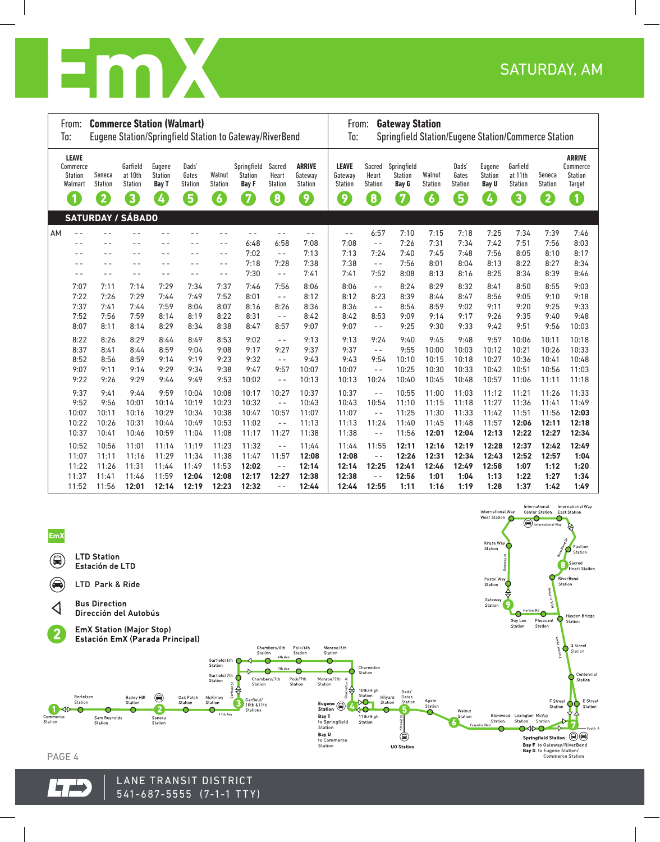

|    | From:<br>To:                                          | <b>Commerce Station (Walmart)</b> |                                       |                                          |                                  |                          | Eugene Station/Springfield Station to Gateway/RiverBend |                                   |                                            | From:<br><b>Gateway Station</b><br>Springfield Station/Eugene Station/Commerce Station<br>To: |                                   |                                               |                          |                                  |                                          |                                       |                         |                                                       |  |  |
|----|-------------------------------------------------------|-----------------------------------|---------------------------------------|------------------------------------------|----------------------------------|--------------------------|---------------------------------------------------------|-----------------------------------|--------------------------------------------|-----------------------------------------------------------------------------------------------|-----------------------------------|-----------------------------------------------|--------------------------|----------------------------------|------------------------------------------|---------------------------------------|-------------------------|-------------------------------------------------------|--|--|
|    | <b>LEAVE</b><br>Commerce<br><b>Station</b><br>Walmart | Seneca<br><b>Station</b>          | Garfield<br>at 10th<br><b>Station</b> | Eugene<br><b>Station</b><br><b>Bay T</b> | Dads'<br>Gates<br><b>Station</b> | Walnut<br><b>Station</b> | Springfield<br><b>Station</b><br><b>Bay F</b>           | Sacred<br>Heart<br><b>Station</b> | <b>ARRIVE</b><br>Gateway<br><b>Station</b> | <b>LEAVE</b><br>Gateway<br>Station                                                            | Sacred<br>Heart<br><b>Station</b> | Springfield<br><b>Station</b><br><b>Bay G</b> | Walnut<br><b>Station</b> | Dads'<br>Gates<br><b>Station</b> | Eugene<br><b>Station</b><br><b>Bay U</b> | Garfield<br>at 11th<br><b>Station</b> | Seneca<br>Station       | <b>ARRIVE</b><br>Commerce<br><b>Station</b><br>Target |  |  |
|    | $\overline{\mathbf{1}}$                               | $\overline{2}$                    | $\mathbf{3}$                          | Ø                                        | $\left[ 5\right]$                | $\boldsymbol{6}$         | $\sqrt{7}$                                              | $\mathbf{8}$                      | $\left( 9\right)$                          | 9                                                                                             | $\overline{\mathbf{8}}$           | 7                                             | $\boxed{6}$              | 5                                | $\left( 4 \right)$                       | $\overline{\mathbf{3}}$               | $\overline{\mathbf{2}}$ | $\blacksquare$                                        |  |  |
|    |                                                       | <b>SATURDAY / SÁBADO</b>          |                                       |                                          |                                  |                          |                                                         |                                   |                                            |                                                                                               |                                   |                                               |                          |                                  |                                          |                                       |                         |                                                       |  |  |
| AM | $- -$                                                 |                                   |                                       |                                          |                                  | - -                      | $ -$                                                    | $-$                               | $ -$                                       | $\sim$ $-$                                                                                    | 6:57                              | 7:10                                          | 7:15                     | 7:18                             | 7:25                                     | 7:34                                  | 7:39                    | 7:46                                                  |  |  |
|    |                                                       |                                   |                                       |                                          |                                  | - -                      | 6:48                                                    | 6:58                              | 7:08                                       | 7:08                                                                                          | $ -$                              | 7:26                                          | 7:31                     | 7:34                             | 7:42                                     | 7:51                                  | 7:56                    | 8:03                                                  |  |  |
|    |                                                       | - -                               | $ -$                                  | - -                                      | - -                              | - -                      | 7:02                                                    | $\frac{1}{2}$                     | 7:13                                       | 7:13                                                                                          | 7:24                              | 7:40                                          | 7:45                     | 7:48                             | 7:56                                     | 8:05                                  | 8:10                    | 8:17                                                  |  |  |
|    |                                                       | - -                               | - -                                   |                                          |                                  | - -                      | 7:18                                                    | 7:28                              | 7:38                                       | 7:38                                                                                          | $ -$                              | 7:56                                          | 8:01                     | 8:04                             | 8:13                                     | 8:22                                  | 8:27                    | 8:34                                                  |  |  |
|    |                                                       | - -                               | $ -$                                  |                                          | - -                              | $- -$                    | 7:30                                                    | $ -$                              | 7:41                                       | 7:41                                                                                          | 7:52                              | 8:08                                          | 8:13                     | 8:16                             | 8:25                                     | 8:34                                  | 8:39                    | 8:46                                                  |  |  |
|    | 7:07                                                  | 7:11                              | 7:14                                  | 7:29                                     | 7:34                             | 7:37                     | 7:46                                                    | 7:56                              | 8:06                                       | 8:06                                                                                          | $- -$                             | 8:24                                          | 8:29                     | 8:32                             | 8:41                                     | 8:50                                  | 8:55                    | 9:03                                                  |  |  |
|    | 7:22                                                  | 7:26                              | 7:29                                  | 7:44                                     | 7:49                             | 7:52                     | 8:01                                                    | $ -$                              | 8:12                                       | 8:12                                                                                          | 8:23                              | 8:39                                          | 8:44                     | 8:47                             | 8:56                                     | 9:05                                  | 9:10                    | 9:18                                                  |  |  |
|    | 7:37                                                  | 7:41                              | 7:44                                  | 7:59                                     | 8:04                             | 8:07                     | 8:16                                                    | 8:26                              | 8:36                                       | 8:36                                                                                          | $ -$                              | 8:54                                          | 8:59                     | 9:02                             | 9:11                                     | 9:20                                  | 9:25                    | 9:33                                                  |  |  |
|    | 7:52                                                  | 7:56                              | 7:59                                  | 8:14                                     | 8:19                             | 8:22                     | 8:31                                                    | $ -$                              | 8:42                                       | 8:42                                                                                          | 8:53                              | 9:09                                          | 9:14                     | 9:17                             | 9:26                                     | 9:35                                  | 9:40                    | 9:48                                                  |  |  |
|    | 8:07                                                  | 8:11                              | 8:14                                  | 8:29                                     | 8:34                             | 8:38                     | 8:47                                                    | 8:57                              | 9:07                                       | 9:07                                                                                          | $- -$                             | 9:25                                          | 9:30                     | 9:33                             | 9:42                                     | 9:51                                  | 9:56                    | 10:03                                                 |  |  |
|    | 8:22                                                  | 8:26                              | 8:29                                  | 8:44                                     | 8:49                             | 8:53                     | 9:02                                                    | $- -$                             | 9:13                                       | 9:13                                                                                          | 9:24                              | 9:40                                          | 9:45                     | 9:48                             | 9:57                                     | 10:06                                 | 10:11                   | 10:18                                                 |  |  |
|    | 8:37                                                  | 8:41                              | 8:44                                  | 8:59                                     | 9:04                             | 9:08                     | 9:17                                                    | 9:27                              | 9:37                                       | 9:37                                                                                          | $ -$                              | 9:55                                          | 10:00                    | 10:03                            | 10:12                                    | 10:21                                 | 10:26                   | 10:33                                                 |  |  |
|    | 8:52                                                  | 8:56                              | 8:59                                  | 9:14                                     | 9:19                             | 9:23                     | 9:32                                                    | $\sim$ $-$                        | 9:43                                       | 9:43                                                                                          | 9:54                              | 10:10                                         | 10:15                    | 10:18                            | 10:27                                    | 10:36                                 | 10:41                   | 10:48                                                 |  |  |
|    | 9:07                                                  | 9:11                              | 9:14                                  | 9:29                                     | 9:34                             | 9:38                     | 9:47                                                    | 9:57                              | 10:07                                      | 10:07                                                                                         | $\frac{1}{2}$                     | 10:25                                         | 10:30                    | 10:33                            | 10:42                                    | 10:51                                 | 10:56                   | 11:03                                                 |  |  |
|    | 9:22                                                  | 9:26                              | 9:29                                  | 9:44                                     | 9:49                             | 9:53                     | 10:02                                                   | $\frac{1}{2}$                     | 10:13                                      | 10:13                                                                                         | 10:24                             | 10:40                                         | 10:45                    | 10:48                            | 10:57                                    | 11:06                                 | 11:11                   | 11:18                                                 |  |  |
|    | 9:37                                                  | 9:41                              | 9:44                                  | 9:59                                     | 10:04                            | 10:08                    | 10:17                                                   | 10:27                             | 10:37                                      | 10:37                                                                                         | $ -$                              | 10:55                                         | 11:00                    | 11:03                            | 11:12                                    | 11:21                                 | 11:26                   | 11:33                                                 |  |  |
|    | 9:52                                                  | 9:56                              | 10:01                                 | 10:14                                    | 10:19                            | 10:23                    | 10:32                                                   | $\sim$ $-$                        | 10:43                                      | 10:43                                                                                         | 10:54                             | 11:10                                         | 11:15                    | 11:18                            | 11:27                                    | 11:36                                 | 11:41                   | 11:49                                                 |  |  |
|    | 10:07                                                 | 10:11                             | 10:16                                 | 10:29                                    | 10:34                            | 10:38                    | 10:47                                                   | 10:57                             | 11:07                                      | 11:07                                                                                         | $ -$                              | 11:25                                         | 11:30                    | 11:33                            | 11:42                                    | 11:51                                 | 11:56                   | 12:03                                                 |  |  |
|    | 10:22                                                 | 10:26                             | 10:31                                 | 10:44                                    | 10:49                            | 10:53                    | 11:02                                                   | $\sim$ $-$                        | 11:13                                      | 11:13                                                                                         | 11:24                             | 11:40                                         | 11:45                    | 11:48                            | 11:57                                    | 12:06                                 | 12:11                   | 12:18                                                 |  |  |
|    | 10:37                                                 | 10:41                             | 10:46                                 | 10:59                                    | 11:04                            | 11:08                    | 11:17                                                   | 11:27                             | 11:38                                      | 11:38                                                                                         | $- -$                             | 11:56                                         | 12:01                    | 12:04                            | 12:13                                    | 12:22                                 | 12:27                   | 12:34                                                 |  |  |
|    | 10:52                                                 | 10:56                             | 11:01                                 | 11:14                                    | 11:19                            | 11:23                    | 11:32                                                   | $-$                               | 11:44                                      | 11:44                                                                                         | 11:55                             | 12:11                                         | 12:16                    | 12:19                            | 12:28                                    | 12:37                                 | 12:42                   | 12:49                                                 |  |  |
|    | 11:07                                                 | 11:11                             | 11:16                                 | 11:29                                    | 11:34                            | 11:38                    | 11:47                                                   | 11:57                             | 12:08                                      | 12:08                                                                                         | $ -$                              | 12:26                                         | 12:31                    | 12:34                            | 12:43                                    | 12:52                                 | 12:57                   | 1:04                                                  |  |  |
|    | 11:22                                                 | 11:26                             | 11:31                                 | 11:44                                    | 11:49                            | 11:53                    | 12:02                                                   | $ -$                              | 12:14                                      | 12:14                                                                                         | 12:25                             | 12:41                                         | 12:46                    | 12:49                            | 12:58                                    | 1:07                                  | 1:12                    | 1:20                                                  |  |  |
|    | 11:37                                                 | 11:41                             | 11:46                                 | 11:59                                    | 12:04                            | 12:08                    | 12:17                                                   | 12:27                             | 12:38                                      | 12:38                                                                                         | $ -$                              | 12:56                                         | 1:01                     | 1:04                             | 1:13                                     | 1:22                                  | 1:27                    | 1:34                                                  |  |  |
|    | 11:52                                                 | 11:56                             | 12:01                                 | 12:14                                    | 12:19                            | 12:23                    | 12:32                                                   | $ -$                              | 12:44                                      | 12:44                                                                                         | 12:55                             | 1:11                                          | 1:16                     | 1:19                             | 1:28                                     | 1:37                                  | 1:42                    | 1:49                                                  |  |  |



**7:22 7:26 7:30 7:44 7:49 7:52 8:01** - - **8:12 8:12 8:23 8:39 8:44 8:47 8:56 9:04 9:09 9:16**

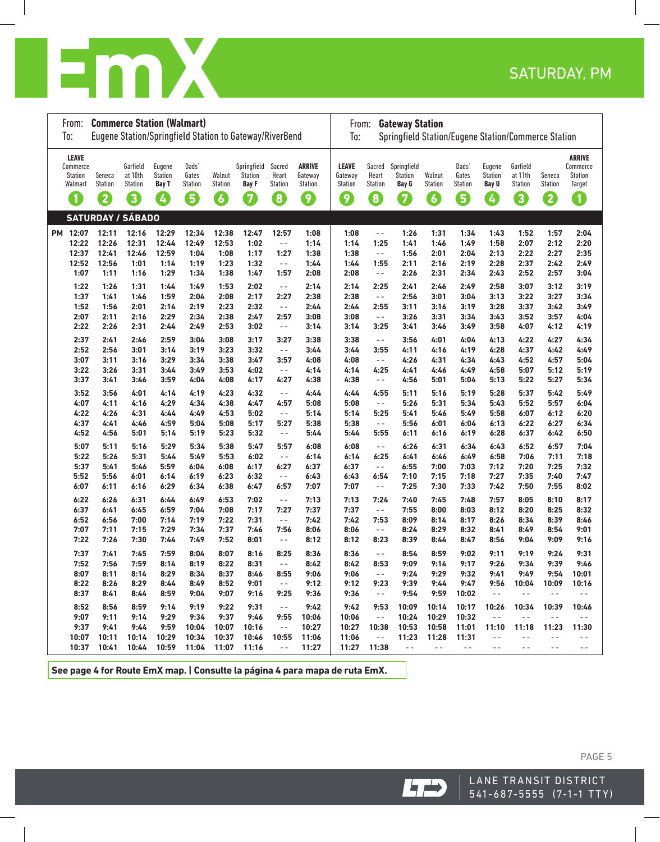

| From:<br>To:                                                          | <b>Commerce Station (Walmart)</b> |                                            |                                        |                                       |                                | Eugene Station/Springfield Station to Gateway/RiverBend |                                           |                                                                     | <b>Gateway Station</b><br>From:<br>To:<br>Springfield Station/Eugene Station/Commerce Station |                                    |                                             |                               |                                       |                                               |                                     |                               |                                                                   |  |
|-----------------------------------------------------------------------|-----------------------------------|--------------------------------------------|----------------------------------------|---------------------------------------|--------------------------------|---------------------------------------------------------|-------------------------------------------|---------------------------------------------------------------------|-----------------------------------------------------------------------------------------------|------------------------------------|---------------------------------------------|-------------------------------|---------------------------------------|-----------------------------------------------|-------------------------------------|-------------------------------|-------------------------------------------------------------------|--|
| LEAVE<br>Commerce<br>Station<br>Walmart<br>$\left( \mathbf{1}\right)$ | Seneca<br><b>Station</b><br>2     | Garfield<br>at 10th<br><b>Station</b><br>3 | Eugene<br><b>Station</b><br>Bay T<br>Ø | Dads'<br>Gates<br><b>Station</b><br>6 | Walnut<br><b>Station</b><br>6  | Springfield<br><b>Station</b><br><b>Bay F</b><br>0      | Sacred<br>Heart<br><b>Station</b><br>8    | <b>ARRIVE</b><br>Gateway<br><b>Station</b><br>$\boldsymbol{\Omega}$ | <b>LEAVE</b><br>Gateway<br>Station<br>0                                                       | Sacred<br>Heart<br>Station<br>8    | Springfield<br><b>Station</b><br>Bay G<br>0 | Walnut<br><b>Station</b><br>G | Dads'<br>Gates<br><b>Station</b><br>6 | Eugene<br><b>Station</b><br><b>Bay U</b><br>Ø | Garfield<br>at 11th<br>Station<br>3 | Seneca<br><b>Station</b><br>2 | <b>ARRIVE</b><br>Commerce<br><b>Station</b><br><b>Target</b><br>O |  |
|                                                                       | <b>SATURDAY / SÁBADO</b>          |                                            |                                        |                                       |                                |                                                         |                                           |                                                                     |                                                                                               |                                    |                                             |                               |                                       |                                               |                                     |                               |                                                                   |  |
| PM 12:07<br>12:22<br>12:37<br>12:52                                   | 12:11<br>12:26<br>12:41<br>12:56  | 12:16<br>12:31<br>12:46<br>1:01            | 12:29<br>12:44<br>12:59<br>1:14        | 12:34<br>12:49<br>1:04<br>1:19        | 12:38<br>12:53<br>1:08<br>1:23 | 12:47<br>1:02<br>1:17<br>1:32                           | 12:57<br>$\sim$ $-$<br>1:27<br>$\sim$ $-$ | 1:08<br>1:14<br>1:38<br>1:44                                        | 1:08<br>1:14<br>1:38<br>1:44                                                                  | $ -$<br>1:25<br>$\sim$ $-$<br>1:55 | 1:26<br>1:41<br>1:56<br>2:11                | 1:31<br>1:46<br>2:01<br>2:16  | 1:34<br>1:49<br>2:04<br>2:19          | 1:43<br>1:58<br>2:13<br>2:28                  | 1:52<br>2:07<br>2:22<br>2:37        | 1:57<br>2:12<br>2:27<br>2:42  | 2:04<br>2:20<br>2:35<br>2:49                                      |  |
| 1:07                                                                  | 1:11                              | 1:16                                       | 1:29                                   | 1:34                                  | 1:38                           | 1:47                                                    | 1:57                                      | 2:08                                                                | 2:08                                                                                          | $\sim$ $-$                         | 2:26                                        | 2:31                          | 2:34                                  | 2:43                                          | 2:52                                | 2:57                          | 3:04                                                              |  |
| 1:22                                                                  | 1:26                              | 1:31                                       | 1:44                                   | 1:49                                  | 1:53                           | 2:02                                                    | $\sim$ $-$                                | 2:14                                                                | 2:14                                                                                          | 2:25                               | 2:41                                        | 2:46                          | 2:49                                  | 2:58                                          | 3:07                                | 3:12                          | 3:19                                                              |  |
| 1:37                                                                  | 1:41                              | 1:46                                       | 1:59                                   | 2:04                                  | 2:08                           | 2:17                                                    | 2:27                                      | 2:38                                                                | 2:38                                                                                          | $\sim$ $-$                         | 2:56                                        | 3:01                          | 3:04                                  | 3:13                                          | 3:22                                | 3:27                          | 3:34                                                              |  |
| 1:52                                                                  | 1:56                              | 2:01                                       | 2:14                                   | 2:19                                  | 2:23                           | 2:32                                                    | $\sim$ $\sim$                             | 2:44                                                                | 2:44                                                                                          | 2:55                               | 3:11                                        | 3:16                          | 3:19                                  | 3:28                                          | 3:37                                | 3:42                          | 3:49                                                              |  |
| 2:07                                                                  | 2:11                              | 2:16                                       | 2:29                                   | 2:34                                  | 2:38                           | 2:47                                                    | 2:57                                      | 3:08                                                                | 3:08                                                                                          | $\sim$ $-$                         | 3:26                                        | 3:31                          | 3:34                                  | 3:43                                          | 3:52                                | 3:57                          | 4:04                                                              |  |
| 2:22                                                                  | 2:26                              | 2:31                                       | 2:44                                   | 2:49                                  | 2:53                           | 3:02                                                    | $\sim$ $-$                                | 3:14                                                                | 3:14                                                                                          | 3:25                               | 3:41                                        | 3:46                          | 3:49                                  | 3:58                                          | 4:07                                | 4:12                          | 4:19                                                              |  |
| 2:37                                                                  | 2:41                              | 2:46                                       | 2:59                                   | 3:04                                  | 3:08                           | 3:17                                                    | 3:27                                      | 3:38                                                                | 3:38                                                                                          | $\sim$ $-$                         | 3:56                                        | 4:01                          | 4:04                                  | 4:13                                          | 4:22                                | 4:27                          | 4:34                                                              |  |
| 2:52                                                                  | 2:56                              | 3:01                                       | 3:14                                   | 3:19                                  | 3:23                           | 3:32                                                    | $\sim$ $-$                                | 3:44                                                                | 3:44                                                                                          | 3:55                               | 4:11                                        | 4:16                          | 4:19                                  | 4:28                                          | 4:37                                | 4:42                          | 4:49                                                              |  |
| 3:07<br>3:22                                                          | 3:11<br>3:26                      | 3:16<br>3:31                               | 3:29<br>3:44                           | 3:34<br>3:49                          | 3:38<br>3:53                   | 3:47<br>4:02                                            | 3:57<br>$\sim$ $\sim$                     | 4:08<br>4:14                                                        | 4:08<br>4:14                                                                                  | $\sim$ $-$<br>4:25                 | 4:26<br>4:41                                | 4:31<br>4:46                  | 4:34<br>4:49                          | 4:43<br>4:58                                  | 4:52<br>5:07                        | 4:57<br>5:12                  | 5:04<br>5:19                                                      |  |
| 3:37                                                                  | 3:41                              | 3:46                                       | 3:59                                   | 4:04                                  | 4:08                           | 4:17                                                    | 4:27                                      | 4:38                                                                | 4:38                                                                                          | $\sim$ $-$                         | 4:56                                        | 5:01                          | 5:04                                  | 5:13                                          | 5:22                                | 5:27                          | 5:34                                                              |  |
|                                                                       |                                   |                                            |                                        |                                       |                                |                                                         |                                           |                                                                     |                                                                                               |                                    |                                             |                               |                                       |                                               |                                     |                               |                                                                   |  |
| 3:52<br>4:07                                                          | 3:56<br>4:11                      | 4:01<br>4:16                               | 4:14<br>4:29                           | 4:19<br>4:34                          | 4:23<br>4:38                   | 4:32<br>4:47                                            | $\sim$ $-$<br>4:57                        | 4:44<br>5:08                                                        | 4:44<br>5:08                                                                                  | 4:55<br>$ -$                       | 5:11<br>5:26                                | 5:16<br>5:31                  | 5:19<br>5:34                          | 5:28<br>5:43                                  | 5:37<br>5:52                        | 5:42<br>5:57                  | 5:49<br>6:04                                                      |  |
| 4:22                                                                  | 4:26                              | 4:31                                       | 4:44                                   | 4:49                                  | 4:53                           | 5:02                                                    | $- -$                                     | 5:14                                                                | 5:14                                                                                          | 5:25                               | 5:41                                        | 5:46                          | 5:49                                  | 5:58                                          | 6:07                                | 6:12                          | 6:20                                                              |  |
| 4:37                                                                  | 4:41                              | 4:46                                       | 4:59                                   | 5:04                                  | 5:08                           | 5:17                                                    | 5:27                                      | 5:38                                                                | 5:38                                                                                          | $\sim$ $-$                         | 5:56                                        | 6:01                          | 6:04                                  | 6:13                                          | 6:22                                | 6:27                          | 6:34                                                              |  |
| 4:52                                                                  | 4:56                              | 5:01                                       | 5:14                                   | 5:19                                  | 5:23                           | 5:32                                                    | $\sim$ $-$                                | 5:44                                                                | 5:44                                                                                          | 5:55                               | 6:11                                        | 6:16                          | 6:19                                  | 6:28                                          | 6:37                                | 6:42                          | 6:50                                                              |  |
|                                                                       |                                   |                                            |                                        |                                       |                                |                                                         |                                           |                                                                     |                                                                                               |                                    |                                             |                               |                                       |                                               |                                     |                               |                                                                   |  |
| 5:07<br>5:22                                                          | 5:11<br>5:26                      | 5:16<br>5:31                               | 5:29<br>5:44                           | 5:34<br>5:49                          | 5:38<br>5:53                   | 5:47<br>6:02                                            | 5:57<br>$ -$                              | 6:08                                                                | 6:08<br>6:14                                                                                  | $\sim$ $-$<br>6:25                 | 6:26                                        | 6:31                          | 6:34                                  | 6:43<br>6:58                                  | 6:52<br>7:06                        | 6:57<br>7:11                  | 7:04<br>7:18                                                      |  |
| 5:37                                                                  | 5:41                              | 5:46                                       | 5:59                                   | 6:04                                  | 6:08                           | 6:17                                                    | 6:27                                      | 6:14<br>6:37                                                        | 6:37                                                                                          | $\sim$ $-$                         | 6:41<br>6:55                                | 6:46<br>7:00                  | 6:49<br>7:03                          | 7:12                                          | 7:20                                | 7:25                          | 7:32                                                              |  |
| 5:52                                                                  | 5:56                              | 6:01                                       | 6:14                                   | 6:19                                  | 6:23                           | 6:32                                                    | $\sim$ $-$                                | 6:43                                                                | 6:43                                                                                          | 6:54                               | 7:10                                        | 7:15                          | 7:18                                  | 7:27                                          | 7:35                                | 7:40                          | 7:47                                                              |  |
| 6:07                                                                  | 6:11                              | 6:16                                       | 6:29                                   | 6:34                                  | 6:38                           | 6:47                                                    | 6:57                                      | 7:07                                                                | 7:07                                                                                          | $\sim$ $-$                         | 7:25                                        | 7:30                          | 7:33                                  | 7:42                                          | 7:50                                | 7:55                          | 8:02                                                              |  |
|                                                                       |                                   |                                            |                                        |                                       |                                |                                                         | $\sim$ $-$                                |                                                                     |                                                                                               |                                    |                                             |                               |                                       |                                               |                                     |                               |                                                                   |  |
| 6:22<br>6:37                                                          | 6:26<br>6:41                      | 6:31<br>6:45                               | 6:44<br>6:59                           | 6:49<br>7:04                          | 6:53<br>7:08                   | 7:02<br>7:17                                            | 7:27                                      | 7:13<br>7:37                                                        | 7:13<br>7:37                                                                                  | 7:24<br>$ -$                       | 7:40<br>7:55                                | 7:45<br>8:00                  | 7:48<br>8:03                          | 7:57<br>8:12                                  | 8:05<br>8:20                        | 8:10<br>8:25                  | 8:17<br>8:32                                                      |  |
| 6:52                                                                  | 6:56                              | 7:00                                       | 7:14                                   | 7:19                                  | 7:22                           | 7:31                                                    | $\sim$ $-$                                | 7:42                                                                | 7:42                                                                                          | 7:53                               | 8:09                                        | 8:14                          | 8:17                                  | 8:26                                          | 8:34                                | 8:39                          | 8:46                                                              |  |
| 7:07                                                                  | 7:11                              | 7:15                                       | 7:29                                   | 7:34                                  | 7:37                           | 7:46                                                    | 7:56                                      | 8:06                                                                | 8:06                                                                                          | $\sim$ $-$                         | 8:24                                        | 8:29                          | 8:32                                  | 8:41                                          | 8:49                                | 8:54                          | 9:01                                                              |  |
| 7:22                                                                  | 7:26                              | 7:30                                       | 7:44                                   | 7:49                                  | 7:52                           | 8:01                                                    | - -                                       | 8:12                                                                | 8:12                                                                                          | 8:23                               | 8:39                                        | 8:44                          | 8:47                                  | 8:56                                          | 9:04                                | 9:09                          | 9:16                                                              |  |
| 7:37                                                                  | 7:41                              | 7:45                                       | 7:59                                   | 8:04                                  | 8:07                           | 8:16                                                    | 8:25                                      | 8:36                                                                | 8:36                                                                                          | $ -$                               | 8:54                                        | 8:59                          | 9:02                                  | 9:11                                          | 9:19                                | 9:24                          | 9:31                                                              |  |
| 7:52                                                                  | 7:56                              | 7:59                                       | 8:14                                   | 8:19                                  | 8:22                           | 8:31                                                    | $\qquad \qquad -$                         | 8:42                                                                | 8:42                                                                                          | 8:53                               | 9:09                                        | 9:14                          | 9:17                                  | 9:26                                          | 9:34                                | 9:39                          | 9:46                                                              |  |
| 8:07                                                                  | 8:11                              | 8:14                                       | 8:29                                   | 8:34                                  | 8:37                           | 8:46                                                    | 8:55                                      | 9:06                                                                | 9:06                                                                                          | $\sim$ $\sim$                      | 9:24                                        | 9:29                          | 9:32                                  | 9:41                                          | 9:49                                | 9:54                          | 10:01                                                             |  |
| 8:22                                                                  | 8:26                              | 8:29                                       | 8:44                                   | 8:49                                  | 8:52                           | 9:01                                                    | $\sim$ $-$                                | 9:12                                                                | 9:12                                                                                          | 9:23                               | 9:39                                        | 9:44                          | 9:47                                  | 9:56                                          | 10:04                               | 10:09                         | 10:16                                                             |  |
| 8:37                                                                  | 8:41                              | 8:44                                       | 8:59                                   | 9:04                                  | 9:07                           | 9:16                                                    | 9:25                                      | 9:36                                                                | 9:36                                                                                          | $\sim$ $-$                         | 9:54                                        | 9:59                          | 10:02                                 | $\sim$ $-$                                    | $\sim$ $-$                          | $\sim$ $-$                    | $\sim$ $-$                                                        |  |
| 8:52                                                                  | 8:56                              | 8:59                                       | 9:14                                   | 9:19                                  | 9:22                           | 9:31                                                    | $\sim$ $-$                                | 9:42                                                                | 9:42                                                                                          | 9:53                               | 10:09                                       | 10:14                         | 10:17                                 | 10:26                                         | 10:34                               | 10:39                         | 10:46                                                             |  |
| 9:07                                                                  | 9:11                              | 9:14                                       | 9:29                                   | 9:34                                  | 9:37                           | 9:46                                                    | 9:55                                      | 10:06                                                               | 10:06                                                                                         | $\sim$ $-$                         | 10:24                                       | 10:29                         | 10:32                                 | $\sim$ $-$                                    | $\sim$ $-$                          | $\sim$ $-$                    | $\sim$ $-$                                                        |  |
| 9:37                                                                  | 9:41                              | 9:44                                       | 9:59                                   | 10:04                                 | 10:07                          | 10:16                                                   | $\sim$ $-$                                | 10:27                                                               | 10:27                                                                                         | 10:38                              | 10:53                                       | 10:58                         | 11:01                                 | 11:10                                         | 11:18                               | 11:23                         | 11:30                                                             |  |
| 10:07                                                                 | 10:11                             | 10:14                                      | 10:29                                  | 10:34                                 | 10:37                          | 10:46                                                   | 10:55                                     | 11:06                                                               | 11:06                                                                                         | $\sim$ $-$                         | 11:23                                       | 11:28                         | 11:31                                 | $\sim$ $-$                                    | $\sim$ $-$                          | $ -$                          | $\sim$ $-$                                                        |  |
| 10:37                                                                 | 10:41                             | 10:44                                      | 10:59                                  | 11:04                                 | 11:07                          | 11:16                                                   | $\sim$ $-$                                | 11:27                                                               |                                                                                               | 11:27 11:38                        | $\sim$ $-$                                  | $\sim$ $-$                    | $\sim$ $-$                            | $\sim$ $-$                                    | $ -$                                | $ -$                          | $\sim$ $-$                                                        |  |

**3:52 3:56 4:01 4:14 4:19 4:23 4:32** - - **4:44 4:44 4:55 5:11 5:16 5:19 5:28 5:37 5:42 5:49**

**4:22 4:26 4:31 4:44 4:49 4:53 5:02** - - **5:14 5:14 5:25 5:41 5:46 5:49 5:58 6:07 6:12 6:20**

**6:22 6:26 6:31 6:44 6:49 6:53 7:02** - - **7:13 7:13 7:24 7:40 7:45 7:48 7:57 8:05 8:10 8:17**

**7:22 7:26 7:30 7:44 7:49 7:52 8:01** - - **8:12 8:12 8:23 8:39 8:44 8:47 8:56 9:04 9:09 9:16**

See page 4 for Route EmX map. | Consulte la página 4 para mapa de ruta EmX. |